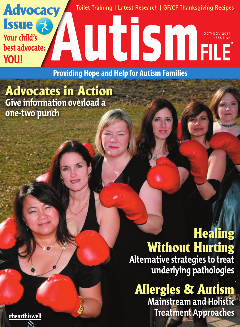**Toilet Training | Latest Research | GF/CF Thanksgiving Recipes**

OCT-NOV 2014 ISSUE 58

**Providing Hope and Help for Autism Families**

Advocates in Action **Give information overload a one-two punch**

**Advocacy** 

Issue &

**Your child's** 

**YOU!**

**best advocate:** 

**Healing** Without Hurting **Alternative strategies to treat underlying pathologies**

**Allergies & Autism Mainstream and Holistic Treatment Approaches**

**[#hearthiswell](https://m.youtube.com/watch?v=sqiyND3RLW4 )**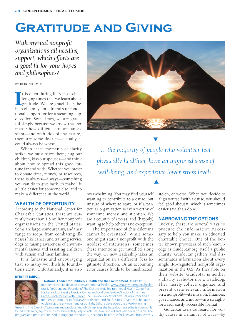# **Gratitude and Giving**

*With myriad nonprofit organizations all needing support, which efforts are a good fit for your hopes and philosophies?*

### **BY DEIRDRE IMUS**

It is often during life's most challenging times that we learn about gratitude. We are grateful for the help of family, for a friend's uncondit is often during life's most challenging times that we learn about gratitude. We are grateful for the tional support, or for a steaming cup of coffee. Sometimes, we are grateful simply because we know that no matter how difficult circumstances seem—and with kids of any nature, there are some doozies—usually, it could always be worse.

When these moments of clarity strike, we must seize them; hug our children, kiss our spouses—and think about how to spread this good fortune far and wide. Whether you prefer to donate time, money, or resources, there is always—always—something you can do to give back, to make life a little easier for someone else, and to make a difference in the world.

## **WEALTH OF OPPORTUNITY**

According to the National Center for Charitable Statistics, there are currently more than 1.5 million nonprofit organizations in the United States. Some are large, some are tiny, and they range in scope from combating illnesses like cancer and training service dogs to raising awareness of environmental issues and assisting children with autism and their families.

It is fantastic and encouraging that so many worthwhile foundations exist. Unfortunately, it is also

#### DEIRDRE IMUS...



…**National Leader for Children's Health and the Environment** Deirdre Imus, founder of the site devoted to environmental health, [www.imusenvironmentalhealth.](http://www.imusenvironmentalhealth.org) [org,](http://www.imusenvironmentalhealth.org) is President and Founder of The Deirdre Imus Environmental Health Center® at Hackensack University Medical Center and Co-Founder/Co-Director of the [Imus](http://www.imus.com/imus-ranch/” \t “_blank)  [Cattle Ranch for Kids with Cancer](http://www.imus.com/imus-ranch/” \t “_blank). She is a *New York Times* best-selling author and a frequent contributor to FoxNewsHealth.com, and Fox Business Channel. In her quest to clean up the environment for our kids, Deirdre developed the award-winning

Greening The Cleaning® program and product line, which replaces the hazardous ingredients commonly found in cleaning agents with environmentally-responsible, less toxic ingredients whenever possible. The program and products are used throughout the country in schools, healthcare facilities, and businesses.



*…the majority of people who volunteer feel physically healthier, have an improved sense of well-being, and experience lower stress levels.* 

 $\blacktriangle$ 

overwhelming. You may find yourself wanting to contribute to a cause, but unsure of where to start, or if a particular organization is even worthy of your time, money, and attention. We are a country of excess, and (happily) wanting to help others is no exception.

The importance of this dilemma cannot be overstated. While someone might start a nonprofit with the noblest of intentions, sometimes these intentions get muddled along the way. Or new leadership takes an organization in a different, less legitimate direction. Or an accounting error causes funds to be misdirected,

stolen, or worse. When you decide to align yourself with a cause, you should feel good about it, which is sometimes easier said than done.

## **NARROWING THE OPTIONS**

Luckily, there are several ways to procure the information necessary to help you make an educated charitable choice. One of the better known providers of such knowledge is GuideStar.org, itself a public charity. GuideStar gathers and disseminates information about every single IRS-registered nonprofit organization in the U.S. As they note on their website, GuideStar is neither a charity evaluator nor a watchdog. They merely collect, organize, and present users relevant information on a nonprofit—its mission, finances, governance, and more—in a straightforward, easily accessible format.

GuideStar users can search for worthy causes in a number of ways—by